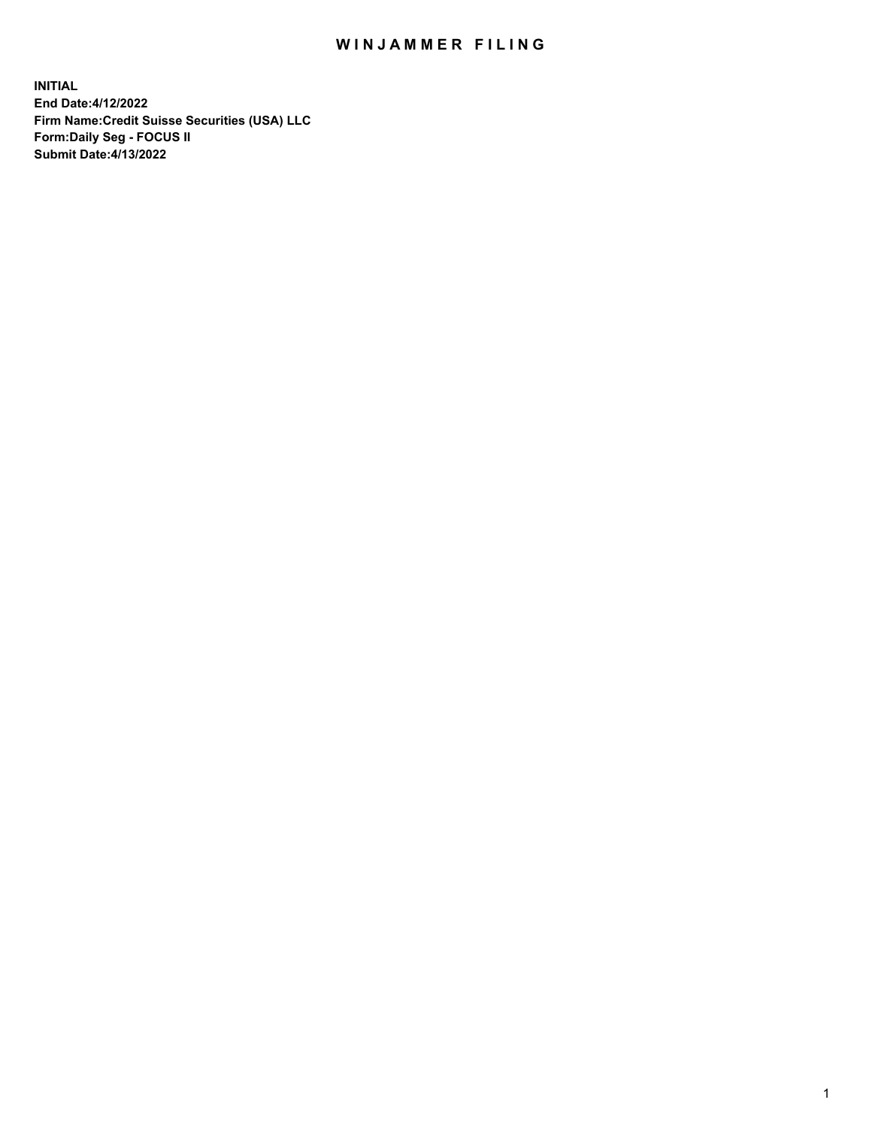# WIN JAMMER FILING

**INITIAL End Date:4/12/2022 Firm Name:Credit Suisse Securities (USA) LLC Form:Daily Seg - FOCUS II Submit Date:4/13/2022**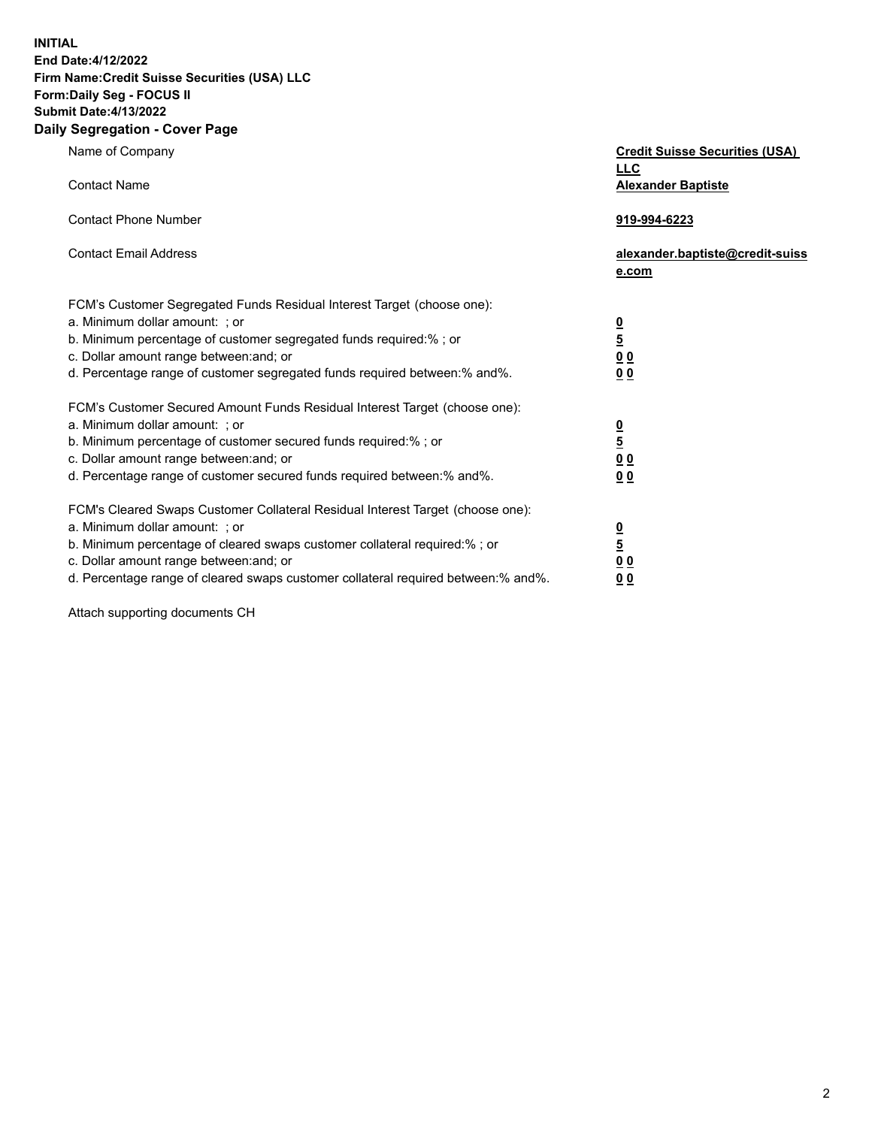**INITIAL End Date:4/12/2022** 

# **Firm Name:Credit Suisse Securities (USA) LLC Form:Daily Seg - FOCUS II Submit Date:4/13/2022**

#### **Daily Segregation - Cover Page**

| Name of Company                                                                                                                                                                                                                                                                                                                | <b>Credit Suisse Securities (USA)</b><br><b>LLC</b>              |
|--------------------------------------------------------------------------------------------------------------------------------------------------------------------------------------------------------------------------------------------------------------------------------------------------------------------------------|------------------------------------------------------------------|
| <b>Contact Name</b>                                                                                                                                                                                                                                                                                                            | <b>Alexander Baptiste</b>                                        |
| <b>Contact Phone Number</b>                                                                                                                                                                                                                                                                                                    | 919-994-6223                                                     |
| <b>Contact Email Address</b>                                                                                                                                                                                                                                                                                                   | alexander.baptiste@credit-suiss<br>e.com                         |
| FCM's Customer Segregated Funds Residual Interest Target (choose one):<br>a. Minimum dollar amount: ; or<br>b. Minimum percentage of customer segregated funds required:% ; or<br>c. Dollar amount range between: and; or<br>d. Percentage range of customer segregated funds required between:% and%.                         | $\frac{\frac{0}{5}}{\frac{0}{0}}$<br>0 <sub>0</sub>              |
| FCM's Customer Secured Amount Funds Residual Interest Target (choose one):<br>a. Minimum dollar amount: ; or<br>b. Minimum percentage of customer secured funds required:% ; or<br>c. Dollar amount range between: and; or<br>d. Percentage range of customer secured funds required between:% and%.                           | $\frac{0}{5}$<br>$\underline{0} \underline{0}$<br>0 <sub>0</sub> |
| FCM's Cleared Swaps Customer Collateral Residual Interest Target (choose one):<br>a. Minimum dollar amount: ; or<br>b. Minimum percentage of cleared swaps customer collateral required:% ; or<br>c. Dollar amount range between: and; or<br>d. Percentage range of cleared swaps customer collateral required between:% and%. | $\frac{0}{5}$<br>0 <sub>0</sub><br>0 <sub>0</sub>                |

Attach supporting documents CH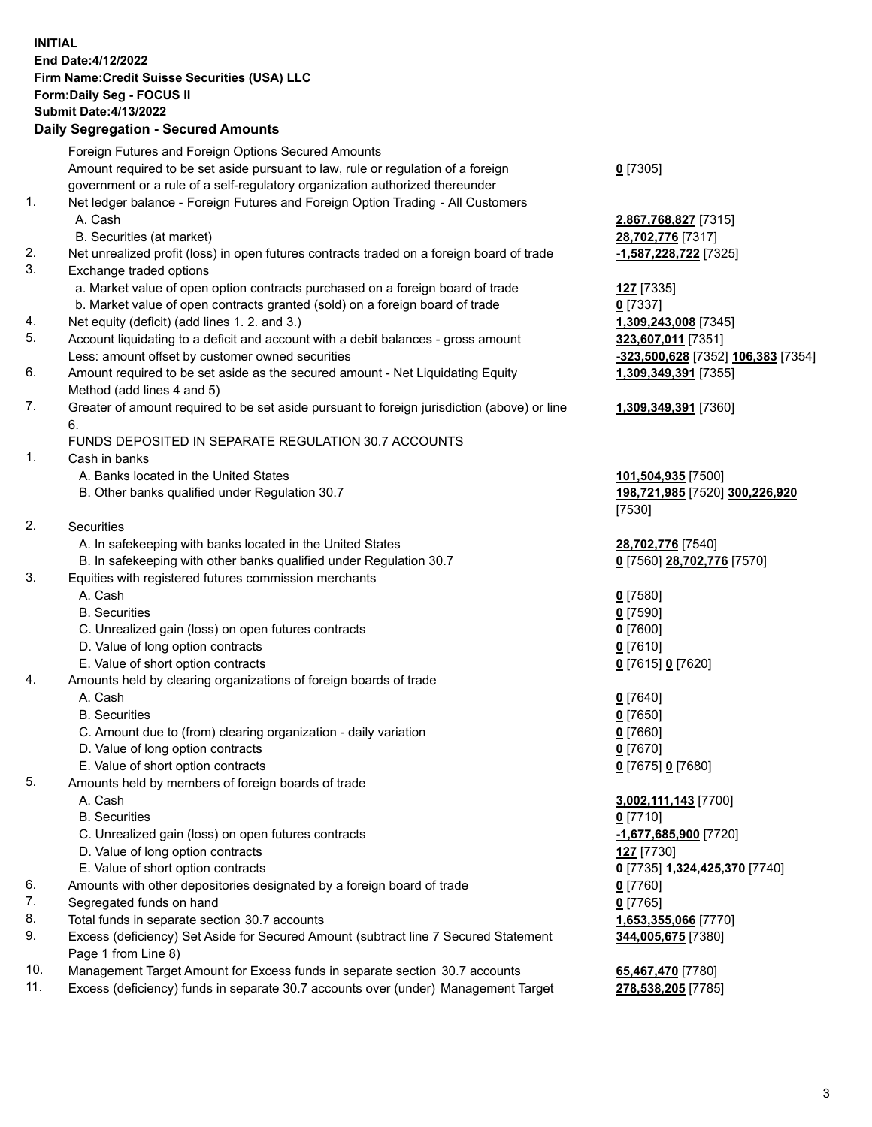### **INITIAL End Date:4/12/2022 Firm Name:Credit Suisse Securities (USA) LLC Form:Daily Seg - FOCUS II Submit Date:4/13/2022**

## **Daily Segregation - Secured Amounts**

|     | Foreign Futures and Foreign Options Secured Amounts                                         |                                    |
|-----|---------------------------------------------------------------------------------------------|------------------------------------|
|     | Amount required to be set aside pursuant to law, rule or regulation of a foreign            | $0$ [7305]                         |
|     | government or a rule of a self-regulatory organization authorized thereunder                |                                    |
| 1.  | Net ledger balance - Foreign Futures and Foreign Option Trading - All Customers             |                                    |
|     | A. Cash                                                                                     | 2,867,768,827 [7315]               |
|     | B. Securities (at market)                                                                   | 28,702,776 [7317]                  |
| 2.  | Net unrealized profit (loss) in open futures contracts traded on a foreign board of trade   | -1,587,228,722 [7325]              |
| 3.  | Exchange traded options                                                                     |                                    |
|     | a. Market value of open option contracts purchased on a foreign board of trade              | <b>127</b> [7335]                  |
|     | b. Market value of open contracts granted (sold) on a foreign board of trade                | $0$ [7337]                         |
| 4.  | Net equity (deficit) (add lines 1. 2. and 3.)                                               | 1,309,243,008 [7345]               |
| 5.  | Account liquidating to a deficit and account with a debit balances - gross amount           | 323,607,011 [7351]                 |
|     | Less: amount offset by customer owned securities                                            | -323,500,628 [7352] 106,383 [7354] |
| 6.  | Amount required to be set aside as the secured amount - Net Liquidating Equity              | 1,309,349,391 [7355]               |
|     | Method (add lines 4 and 5)                                                                  |                                    |
| 7.  | Greater of amount required to be set aside pursuant to foreign jurisdiction (above) or line | 1,309,349,391 [7360]               |
|     | 6.                                                                                          |                                    |
|     | FUNDS DEPOSITED IN SEPARATE REGULATION 30.7 ACCOUNTS                                        |                                    |
| 1.  | Cash in banks                                                                               |                                    |
|     | A. Banks located in the United States                                                       | 101,504,935 [7500]                 |
|     | B. Other banks qualified under Regulation 30.7                                              | 198,721,985 [7520] 300,226,920     |
|     |                                                                                             | [7530]                             |
| 2.  | <b>Securities</b>                                                                           |                                    |
|     | A. In safekeeping with banks located in the United States                                   | 28,702,776 [7540]                  |
|     | B. In safekeeping with other banks qualified under Regulation 30.7                          | 0 [7560] 28,702,776 [7570]         |
| 3.  | Equities with registered futures commission merchants                                       |                                    |
|     | A. Cash                                                                                     | $0$ [7580]                         |
|     | <b>B.</b> Securities                                                                        | $0$ [7590]                         |
|     | C. Unrealized gain (loss) on open futures contracts                                         | $0$ [7600]                         |
|     | D. Value of long option contracts                                                           | $0$ [7610]                         |
|     | E. Value of short option contracts                                                          | 0 [7615] 0 [7620]                  |
| 4.  | Amounts held by clearing organizations of foreign boards of trade                           |                                    |
|     | A. Cash                                                                                     | $0$ [7640]                         |
|     | <b>B.</b> Securities                                                                        | $0$ [7650]                         |
|     | C. Amount due to (from) clearing organization - daily variation                             | $0$ [7660]                         |
|     | D. Value of long option contracts                                                           | $0$ [7670]                         |
|     | E. Value of short option contracts                                                          | 0 [7675] 0 [7680]                  |
| 5.  | Amounts held by members of foreign boards of trade                                          |                                    |
|     | A. Cash                                                                                     | 3,002,111,143 [7700]               |
|     | <b>B.</b> Securities                                                                        | $0$ [7710]                         |
|     | C. Unrealized gain (loss) on open futures contracts                                         | -1,677,685,900 [7720]              |
|     | D. Value of long option contracts                                                           | 127 <sub>[7730]</sub>              |
|     | E. Value of short option contracts                                                          | 0 [7735] 1,324,425,370 [7740]      |
| 6.  | Amounts with other depositories designated by a foreign board of trade                      | $0$ [7760]                         |
| 7.  | Segregated funds on hand                                                                    | $0$ [7765]                         |
| 8.  | Total funds in separate section 30.7 accounts                                               | 1,653,355,066 [7770]               |
| 9.  | Excess (deficiency) Set Aside for Secured Amount (subtract line 7 Secured Statement         | 344,005,675 [7380]                 |
|     | Page 1 from Line 8)                                                                         |                                    |
| 10. | Management Target Amount for Excess funds in separate section 30.7 accounts                 | 65,467,470 [7780]                  |

11. Excess (deficiency) funds in separate 30.7 accounts over (under) Management Target **278,538,205** [7785]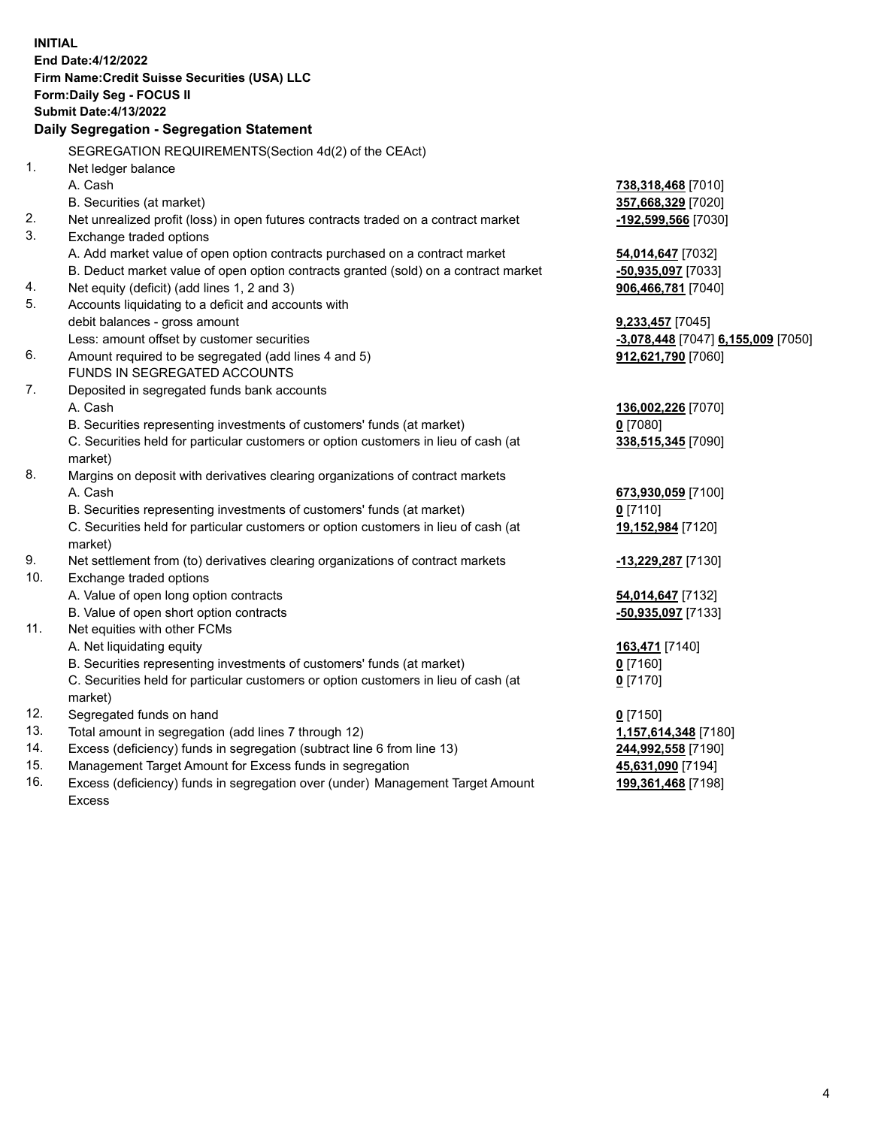**INITIAL End Date:4/12/2022 Firm Name:Credit Suisse Securities (USA) LLC Form:Daily Seg - FOCUS II Submit Date:4/13/2022 Daily Segregation - Segregation Statement** SEGREGATION REQUIREMENTS(Section 4d(2) of the CEAct) 1. Net ledger balance A. Cash **738,318,468** [7010] B. Securities (at market) **357,668,329** [7020] 2. Net unrealized profit (loss) in open futures contracts traded on a contract market **-192,599,566** [7030] 3. Exchange traded options A. Add market value of open option contracts purchased on a contract market **54,014,647** [7032] B. Deduct market value of open option contracts granted (sold) on a contract market **-50,935,097** [7033] 4. Net equity (deficit) (add lines 1, 2 and 3) **906,466,781** [7040] 5. Accounts liquidating to a deficit and accounts with debit balances - gross amount **9,233,457** [7045] Less: amount offset by customer securities **-3,078,448** [7047] **6,155,009** [7050] 6. Amount required to be segregated (add lines 4 and 5) **912,621,790** [7060] FUNDS IN SEGREGATED ACCOUNTS 7. Deposited in segregated funds bank accounts A. Cash **136,002,226** [7070] B. Securities representing investments of customers' funds (at market) **0** [7080] C. Securities held for particular customers or option customers in lieu of cash (at market) **338,515,345** [7090] 8. Margins on deposit with derivatives clearing organizations of contract markets A. Cash **673,930,059** [7100] B. Securities representing investments of customers' funds (at market) **0** [7110] C. Securities held for particular customers or option customers in lieu of cash (at market) **19,152,984** [7120] 9. Net settlement from (to) derivatives clearing organizations of contract markets **-13,229,287** [7130] 10. Exchange traded options A. Value of open long option contracts **54,014,647** [7132] B. Value of open short option contracts **-50,935,097** [7133] 11. Net equities with other FCMs A. Net liquidating equity **163,471** [7140] B. Securities representing investments of customers' funds (at market) **0** [7160] C. Securities held for particular customers or option customers in lieu of cash (at market) **0** [7170] 12. Segregated funds on hand **0** [7150] 13. Total amount in segregation (add lines 7 through 12) **1,157,614,348** [7180] 14. Excess (deficiency) funds in segregation (subtract line 6 from line 13) **244,992,558** [7190] 15. Management Target Amount for Excess funds in segregation **45,631,090** [7194]

16. Excess (deficiency) funds in segregation over (under) Management Target Amount Excess

**199,361,468** [7198]